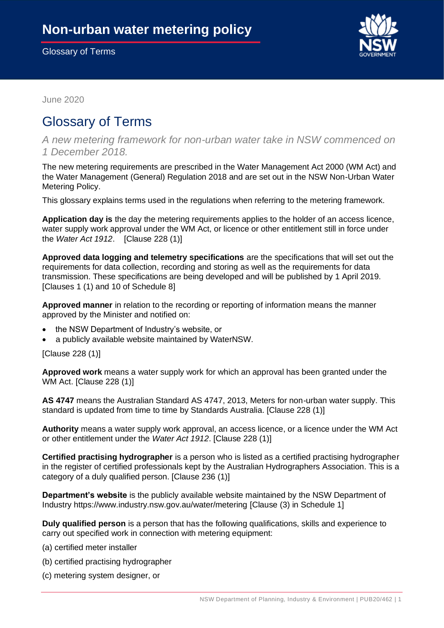Glossary of Terms



June 2020

## Glossary of Terms

 *A new metering framework for non-urban water take in NSW commenced on 1 December 2018.* 

 The new metering requirements are prescribed in the Water Management Act 2000 (WM Act) and the Water Management (General) Regulation 2018 and are set out in the NSW Non-Urban Water Metering Policy.

This glossary explains terms used in the regulations when referring to the metering framework.

 **Application day is** the day the metering requirements applies to the holder of an access licence, water supply work approval under the WM Act, or licence or other entitlement still in force under  the *Water Act 1912*. [Clause 228 (1)]

 **Approved data logging and telemetry specifications** are the specifications that will set out the requirements for data collection, recording and storing as well as the requirements for data transmission. These specifications are being developed and will be published by 1 April 2019. [Clauses 1 (1) and 10 of Schedule 8]

 **Approved manner** in relation to the recording or reporting of information means the manner approved by the Minister and notified on:

- the NSW Department of Industry's website, or
- a publicly available website maintained by WaterNSW.

[Clause 228 (1)]

 **Approved work** means a water supply work for which an approval has been granted under the WM Act. [Clause 228 (1)]

 **AS 4747** means the Australian Standard AS 4747, 2013, Meters for non-urban water supply. This standard is updated from time to time by Standards Australia. [Clause 228 (1)]

 **Authority** means a water supply work approval, an access licence, or a licence under the WM Act or other entitlement under the *Water Act 1912*. [Clause 228 (1)]

 **Certified practising hydrographer** is a person who is listed as a certified practising hydrographer in the register of certified professionals kept by the Australian Hydrographers Association. This is a category of a duly qualified person. [Clause 236 (1)]

 **Department's website** is the publicly available website maintained by the NSW Department of Industry<https://www.industry.nsw.gov.au/water/metering>[Clause (3) in Schedule 1]

 **Duly qualified person** is a person that has the following qualifications, skills and experience to carry out specified work in connection with metering equipment:

- (a) certified meter installer
- (b) certified practising hydrographer
- (c) metering system designer, or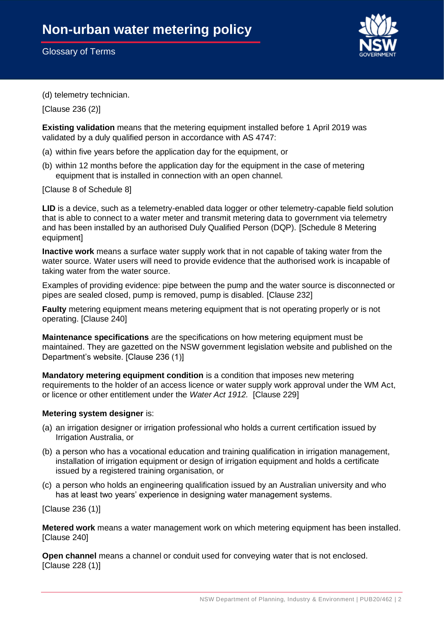Glossary of Terms



(d) telemetry technician.

[Clause 236 (2)]

**Existing validation** means that the metering equipment installed before 1 April 2019 was validated by a duly qualified person in accordance with AS 4747:

- (a) within five years before the application day for the equipment, or
- (b) within 12 months before the application day for the equipment in the case of metering equipment that is installed in connection with an open channel.
- [Clause 8 of Schedule 8]

 **LID** is a device, such as a telemetry-enabled data logger or other telemetry-capable field solution that is able to connect to a water meter and transmit metering data to government via telemetry and has been installed by an authorised Duly Qualified Person (DQP). [Schedule 8 Metering equipment]

 **Inactive work** means a surface water supply work that in not capable of taking water from the water source. Water users will need to provide evidence that the authorised work is incapable of taking water from the water source.

 Examples of providing evidence: pipe between the pump and the water source is disconnected or pipes are sealed closed, pump is removed, pump is disabled. [Clause 232]

 **Faulty** metering equipment means metering equipment that is not operating properly or is not operating. [Clause 240]

 **Maintenance specifications** are the specifications on how metering equipment must be maintained. They are gazetted on the NSW government legislation website and published on the Department's website. [Clause 236 (1)]

**Mandatory metering equipment condition** is a condition that imposes new metering requirements to the holder of an access licence or water supply work approval under the WM Act, or licence or other entitlement under the *Water Act 1912.* [Clause 229]

## **Metering system designer** is:

- (a) an irrigation designer or irrigation professional who holds a current certification issued by Irrigation Australia, or
- (b) a person who has a vocational education and training qualification in irrigation management, installation of irrigation equipment or design of irrigation equipment and holds a certificate issued by a registered training organisation, or
- (c) a person who holds an engineering qualification issued by an Australian university and who has at least two years' experience in designing water management systems.

[Clause 236 (1)]

 **Metered work** means a water management work on which metering equipment has been installed. [Clause 240]

 **Open channel** means a channel or conduit used for conveying water that is not enclosed. [Clause 228 (1)]